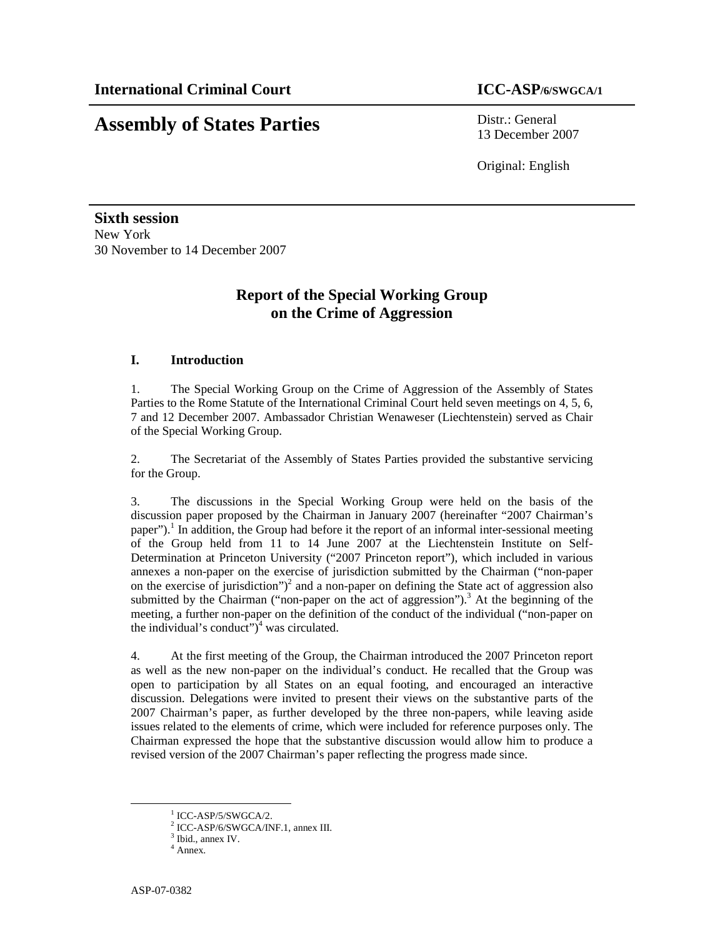# **Assembly of States Parties** Distr.: General

13 December 2007

Original: English

**Sixth session**  New York 30 November to 14 December 2007

# **Report of the Special Working Group on the Crime of Aggression**

# **I. Introduction**

1. The Special Working Group on the Crime of Aggression of the Assembly of States Parties to the Rome Statute of the International Criminal Court held seven meetings on 4, 5, 6, 7 and 12 December 2007. Ambassador Christian Wenaweser (Liechtenstein) served as Chair of the Special Working Group.

2. The Secretariat of the Assembly of States Parties provided the substantive servicing for the Group.

3. The discussions in the Special Working Group were held on the basis of the discussion paper proposed by the Chairman in January 2007 (hereinafter "2007 Chairman's paper").<sup>1</sup> In addition, the Group had before it the report of an informal inter-sessional meeting of the Group held from 11 to 14 June 2007 at the Liechtenstein Institute on Self-Determination at Princeton University ("2007 Princeton report"), which included in various annexes a non-paper on the exercise of jurisdiction submitted by the Chairman ("non-paper on the exercise of jurisdiction")<sup>2</sup> and a non-paper on defining the State act of aggression also submitted by the Chairman ("non-paper on the act of aggression").<sup>3</sup> At the beginning of the meeting, a further non-paper on the definition of the conduct of the individual ("non-paper on the individual's conduct" $)^4$  was circulated.

4. At the first meeting of the Group, the Chairman introduced the 2007 Princeton report as well as the new non-paper on the individual's conduct. He recalled that the Group was open to participation by all States on an equal footing, and encouraged an interactive discussion. Delegations were invited to present their views on the substantive parts of the 2007 Chairman's paper, as further developed by the three non-papers, while leaving aside issues related to the elements of crime, which were included for reference purposes only. The Chairman expressed the hope that the substantive discussion would allow him to produce a revised version of the 2007 Chairman's paper reflecting the progress made since.

<sup>&</sup>lt;sup>1</sup> ICC-ASP/5/SWGCA/2.

<sup>2</sup> ICC-ASP/6/SWGCA/INF.1, annex III.

<sup>&</sup>lt;sup>3</sup> Ibid., annex IV.

<sup>4</sup> Annex.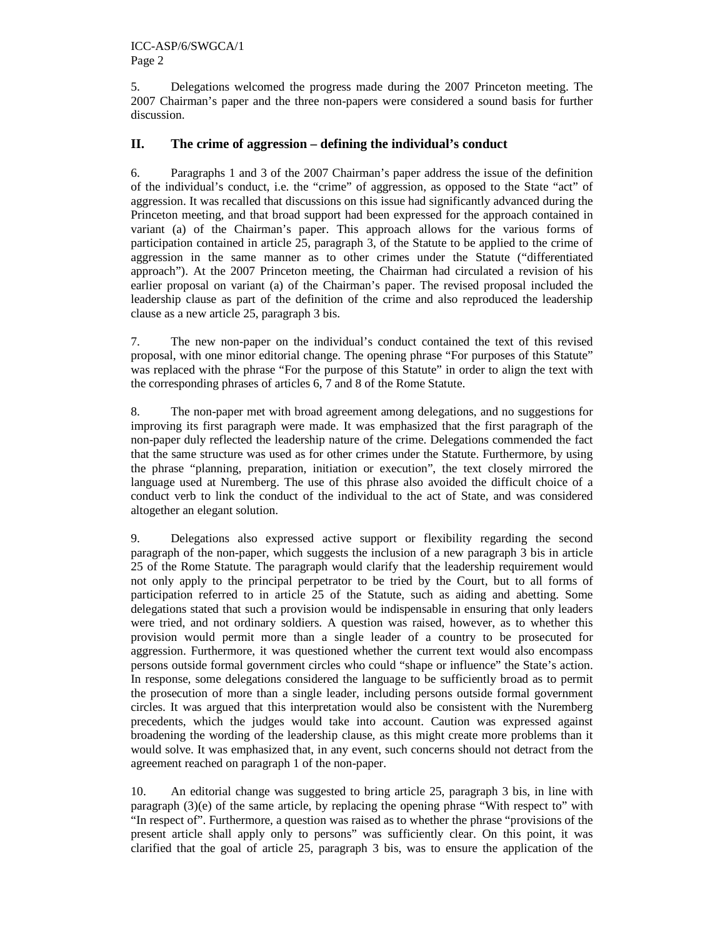5. Delegations welcomed the progress made during the 2007 Princeton meeting. The 2007 Chairman's paper and the three non-papers were considered a sound basis for further discussion.

# **II. The crime of aggression – defining the individual's conduct**

6. Paragraphs 1 and 3 of the 2007 Chairman's paper address the issue of the definition of the individual's conduct, i.e. the "crime" of aggression, as opposed to the State "act" of aggression. It was recalled that discussions on this issue had significantly advanced during the Princeton meeting, and that broad support had been expressed for the approach contained in variant (a) of the Chairman's paper. This approach allows for the various forms of participation contained in article 25, paragraph 3, of the Statute to be applied to the crime of aggression in the same manner as to other crimes under the Statute ("differentiated approach"). At the 2007 Princeton meeting, the Chairman had circulated a revision of his earlier proposal on variant (a) of the Chairman's paper. The revised proposal included the leadership clause as part of the definition of the crime and also reproduced the leadership clause as a new article 25, paragraph 3 bis.

7. The new non-paper on the individual's conduct contained the text of this revised proposal, with one minor editorial change. The opening phrase "For purposes of this Statute" was replaced with the phrase "For the purpose of this Statute" in order to align the text with the corresponding phrases of articles 6, 7 and 8 of the Rome Statute.

8. The non-paper met with broad agreement among delegations, and no suggestions for improving its first paragraph were made. It was emphasized that the first paragraph of the non-paper duly reflected the leadership nature of the crime. Delegations commended the fact that the same structure was used as for other crimes under the Statute. Furthermore, by using the phrase "planning, preparation, initiation or execution", the text closely mirrored the language used at Nuremberg. The use of this phrase also avoided the difficult choice of a conduct verb to link the conduct of the individual to the act of State, and was considered altogether an elegant solution.

9. Delegations also expressed active support or flexibility regarding the second paragraph of the non-paper, which suggests the inclusion of a new paragraph 3 bis in article 25 of the Rome Statute. The paragraph would clarify that the leadership requirement would not only apply to the principal perpetrator to be tried by the Court, but to all forms of participation referred to in article 25 of the Statute, such as aiding and abetting. Some delegations stated that such a provision would be indispensable in ensuring that only leaders were tried, and not ordinary soldiers. A question was raised, however, as to whether this provision would permit more than a single leader of a country to be prosecuted for aggression. Furthermore, it was questioned whether the current text would also encompass persons outside formal government circles who could "shape or influence" the State's action. In response, some delegations considered the language to be sufficiently broad as to permit the prosecution of more than a single leader, including persons outside formal government circles. It was argued that this interpretation would also be consistent with the Nuremberg precedents, which the judges would take into account. Caution was expressed against broadening the wording of the leadership clause, as this might create more problems than it would solve. It was emphasized that, in any event, such concerns should not detract from the agreement reached on paragraph 1 of the non-paper.

10. An editorial change was suggested to bring article 25, paragraph 3 bis, in line with paragraph (3)(e) of the same article, by replacing the opening phrase "With respect to" with "In respect of". Furthermore, a question was raised as to whether the phrase "provisions of the present article shall apply only to persons" was sufficiently clear. On this point, it was clarified that the goal of article 25, paragraph 3 bis, was to ensure the application of the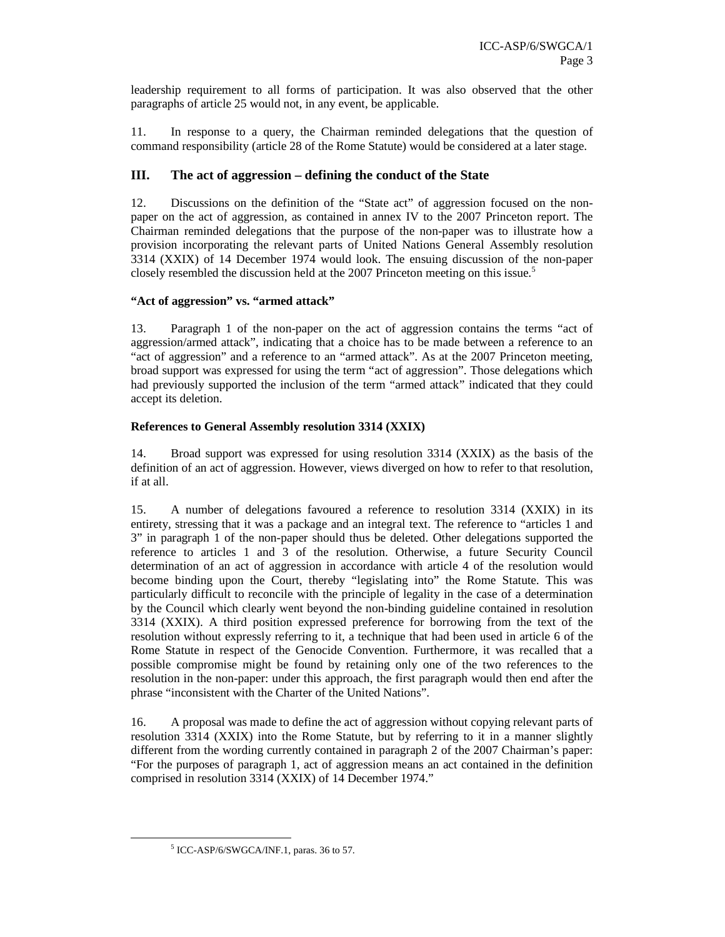leadership requirement to all forms of participation. It was also observed that the other paragraphs of article 25 would not, in any event, be applicable.

11. In response to a query, the Chairman reminded delegations that the question of command responsibility (article 28 of the Rome Statute) would be considered at a later stage.

### **III. The act of aggression – defining the conduct of the State**

12. Discussions on the definition of the "State act" of aggression focused on the nonpaper on the act of aggression, as contained in annex IV to the 2007 Princeton report. The Chairman reminded delegations that the purpose of the non-paper was to illustrate how a provision incorporating the relevant parts of United Nations General Assembly resolution 3314 (XXIX) of 14 December 1974 would look. The ensuing discussion of the non-paper closely resembled the discussion held at the 2007 Princeton meeting on this issue.<sup>5</sup>

#### **"Act of aggression" vs. "armed attack"**

13. Paragraph 1 of the non-paper on the act of aggression contains the terms "act of aggression/armed attack", indicating that a choice has to be made between a reference to an "act of aggression" and a reference to an "armed attack". As at the 2007 Princeton meeting, broad support was expressed for using the term "act of aggression". Those delegations which had previously supported the inclusion of the term "armed attack" indicated that they could accept its deletion.

#### **References to General Assembly resolution 3314 (XXIX)**

14. Broad support was expressed for using resolution 3314 (XXIX) as the basis of the definition of an act of aggression. However, views diverged on how to refer to that resolution, if at all.

15. A number of delegations favoured a reference to resolution 3314 (XXIX) in its entirety, stressing that it was a package and an integral text. The reference to "articles 1 and 3" in paragraph 1 of the non-paper should thus be deleted. Other delegations supported the reference to articles 1 and 3 of the resolution. Otherwise, a future Security Council determination of an act of aggression in accordance with article 4 of the resolution would become binding upon the Court, thereby "legislating into" the Rome Statute. This was particularly difficult to reconcile with the principle of legality in the case of a determination by the Council which clearly went beyond the non-binding guideline contained in resolution 3314 (XXIX). A third position expressed preference for borrowing from the text of the resolution without expressly referring to it, a technique that had been used in article 6 of the Rome Statute in respect of the Genocide Convention. Furthermore, it was recalled that a possible compromise might be found by retaining only one of the two references to the resolution in the non-paper: under this approach, the first paragraph would then end after the phrase "inconsistent with the Charter of the United Nations".

16. A proposal was made to define the act of aggression without copying relevant parts of resolution 3314 (XXIX) into the Rome Statute, but by referring to it in a manner slightly different from the wording currently contained in paragraph 2 of the 2007 Chairman's paper: "For the purposes of paragraph 1, act of aggression means an act contained in the definition comprised in resolution 3314 (XXIX) of 14 December 1974."

<sup>5</sup> ICC-ASP/6/SWGCA/INF.1, paras. 36 to 57.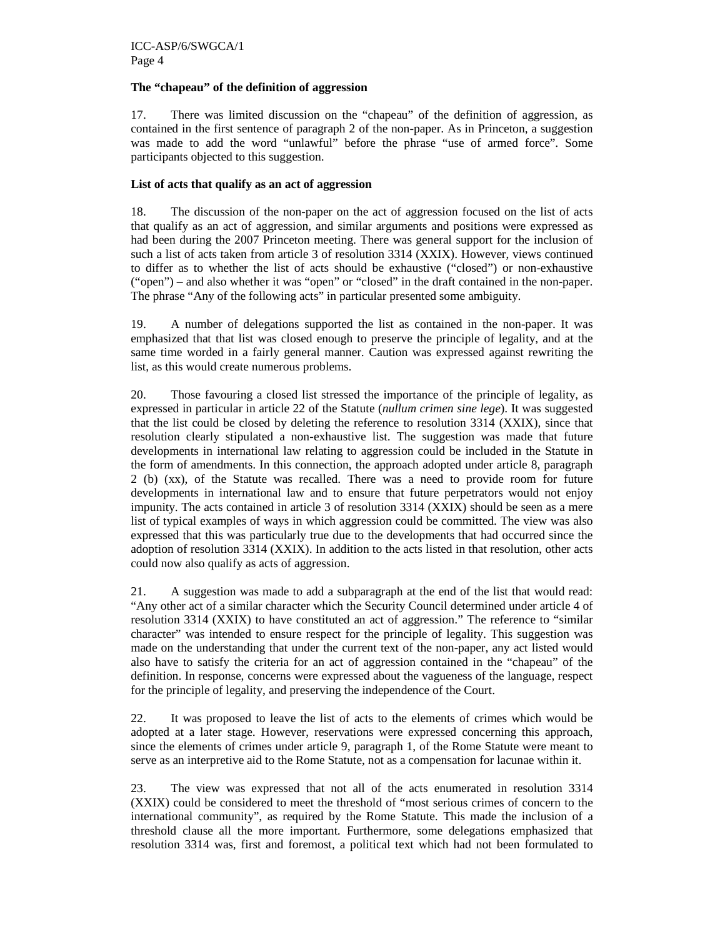#### **The "chapeau" of the definition of aggression**

17. There was limited discussion on the "chapeau" of the definition of aggression, as contained in the first sentence of paragraph 2 of the non-paper. As in Princeton, a suggestion was made to add the word "unlawful" before the phrase "use of armed force". Some participants objected to this suggestion.

#### **List of acts that qualify as an act of aggression**

18. The discussion of the non-paper on the act of aggression focused on the list of acts that qualify as an act of aggression, and similar arguments and positions were expressed as had been during the 2007 Princeton meeting. There was general support for the inclusion of such a list of acts taken from article 3 of resolution 3314 (XXIX). However, views continued to differ as to whether the list of acts should be exhaustive ("closed") or non-exhaustive ("open") – and also whether it was "open" or "closed" in the draft contained in the non-paper. The phrase "Any of the following acts" in particular presented some ambiguity.

19. A number of delegations supported the list as contained in the non-paper. It was emphasized that that list was closed enough to preserve the principle of legality, and at the same time worded in a fairly general manner. Caution was expressed against rewriting the list, as this would create numerous problems.

20. Those favouring a closed list stressed the importance of the principle of legality, as expressed in particular in article 22 of the Statute (*nullum crimen sine lege*). It was suggested that the list could be closed by deleting the reference to resolution 3314 (XXIX), since that resolution clearly stipulated a non-exhaustive list. The suggestion was made that future developments in international law relating to aggression could be included in the Statute in the form of amendments. In this connection, the approach adopted under article 8, paragraph 2 (b) (xx), of the Statute was recalled. There was a need to provide room for future developments in international law and to ensure that future perpetrators would not enjoy impunity. The acts contained in article 3 of resolution 3314 (XXIX) should be seen as a mere list of typical examples of ways in which aggression could be committed. The view was also expressed that this was particularly true due to the developments that had occurred since the adoption of resolution 3314 (XXIX). In addition to the acts listed in that resolution, other acts could now also qualify as acts of aggression.

21. A suggestion was made to add a subparagraph at the end of the list that would read: "Any other act of a similar character which the Security Council determined under article 4 of resolution 3314 (XXIX) to have constituted an act of aggression." The reference to "similar character" was intended to ensure respect for the principle of legality. This suggestion was made on the understanding that under the current text of the non-paper, any act listed would also have to satisfy the criteria for an act of aggression contained in the "chapeau" of the definition. In response, concerns were expressed about the vagueness of the language, respect for the principle of legality, and preserving the independence of the Court.

22. It was proposed to leave the list of acts to the elements of crimes which would be adopted at a later stage. However, reservations were expressed concerning this approach, since the elements of crimes under article 9, paragraph 1, of the Rome Statute were meant to serve as an interpretive aid to the Rome Statute, not as a compensation for lacunae within it.

23. The view was expressed that not all of the acts enumerated in resolution 3314 (XXIX) could be considered to meet the threshold of "most serious crimes of concern to the international community", as required by the Rome Statute. This made the inclusion of a threshold clause all the more important. Furthermore, some delegations emphasized that resolution 3314 was, first and foremost, a political text which had not been formulated to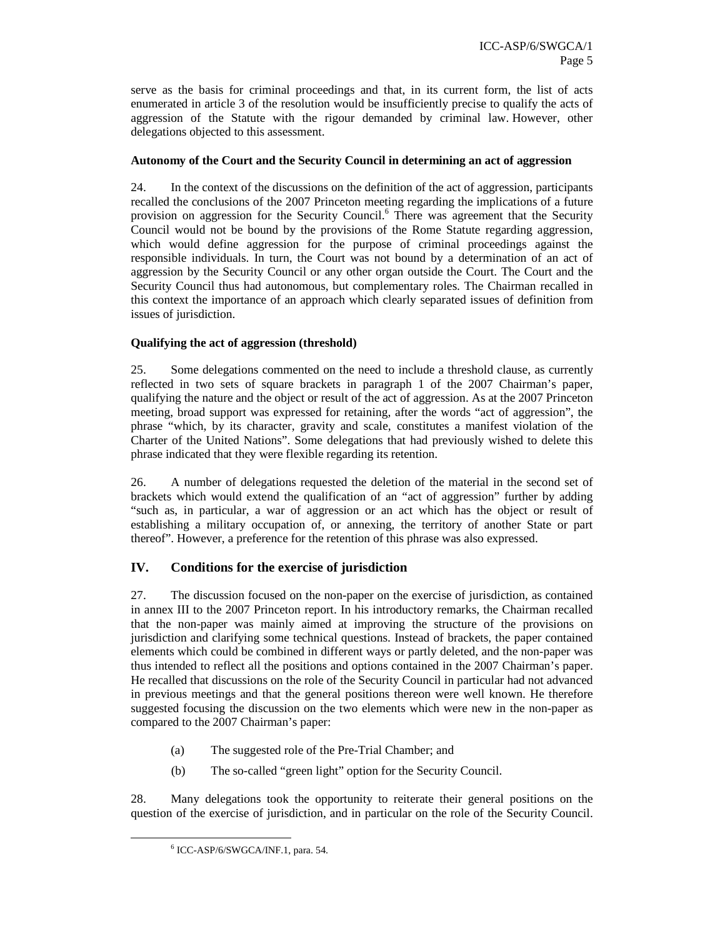serve as the basis for criminal proceedings and that, in its current form, the list of acts enumerated in article 3 of the resolution would be insufficiently precise to qualify the acts of aggression of the Statute with the rigour demanded by criminal law. However, other delegations objected to this assessment.

#### **Autonomy of the Court and the Security Council in determining an act of aggression**

24. In the context of the discussions on the definition of the act of aggression, participants recalled the conclusions of the 2007 Princeton meeting regarding the implications of a future provision on aggression for the Security Council.<sup>6</sup> There was agreement that the Security Council would not be bound by the provisions of the Rome Statute regarding aggression, which would define aggression for the purpose of criminal proceedings against the responsible individuals. In turn, the Court was not bound by a determination of an act of aggression by the Security Council or any other organ outside the Court. The Court and the Security Council thus had autonomous, but complementary roles. The Chairman recalled in this context the importance of an approach which clearly separated issues of definition from issues of jurisdiction.

#### **Qualifying the act of aggression (threshold)**

25. Some delegations commented on the need to include a threshold clause, as currently reflected in two sets of square brackets in paragraph 1 of the 2007 Chairman's paper, qualifying the nature and the object or result of the act of aggression. As at the 2007 Princeton meeting, broad support was expressed for retaining, after the words "act of aggression", the phrase "which, by its character, gravity and scale, constitutes a manifest violation of the Charter of the United Nations". Some delegations that had previously wished to delete this phrase indicated that they were flexible regarding its retention.

26. A number of delegations requested the deletion of the material in the second set of brackets which would extend the qualification of an "act of aggression" further by adding "such as, in particular, a war of aggression or an act which has the object or result of establishing a military occupation of, or annexing, the territory of another State or part thereof". However, a preference for the retention of this phrase was also expressed.

# **IV. Conditions for the exercise of jurisdiction**

27. The discussion focused on the non-paper on the exercise of jurisdiction, as contained in annex III to the 2007 Princeton report. In his introductory remarks, the Chairman recalled that the non-paper was mainly aimed at improving the structure of the provisions on jurisdiction and clarifying some technical questions. Instead of brackets, the paper contained elements which could be combined in different ways or partly deleted, and the non-paper was thus intended to reflect all the positions and options contained in the 2007 Chairman's paper. He recalled that discussions on the role of the Security Council in particular had not advanced in previous meetings and that the general positions thereon were well known. He therefore suggested focusing the discussion on the two elements which were new in the non-paper as compared to the 2007 Chairman's paper:

- (a) The suggested role of the Pre-Trial Chamber; and
- (b) The so-called "green light" option for the Security Council.

28. Many delegations took the opportunity to reiterate their general positions on the question of the exercise of jurisdiction, and in particular on the role of the Security Council.

<sup>6</sup> ICC-ASP/6/SWGCA/INF.1, para. 54.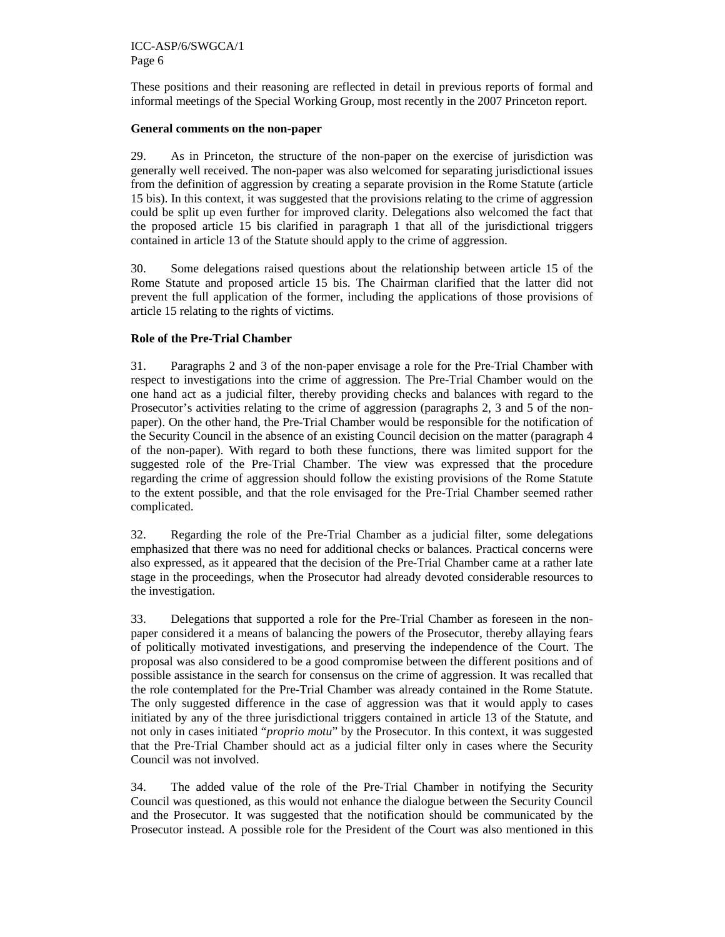These positions and their reasoning are reflected in detail in previous reports of formal and informal meetings of the Special Working Group, most recently in the 2007 Princeton report.

#### **General comments on the non-paper**

29. As in Princeton, the structure of the non-paper on the exercise of jurisdiction was generally well received. The non-paper was also welcomed for separating jurisdictional issues from the definition of aggression by creating a separate provision in the Rome Statute (article 15 bis). In this context, it was suggested that the provisions relating to the crime of aggression could be split up even further for improved clarity. Delegations also welcomed the fact that the proposed article 15 bis clarified in paragraph 1 that all of the jurisdictional triggers contained in article 13 of the Statute should apply to the crime of aggression.

30. Some delegations raised questions about the relationship between article 15 of the Rome Statute and proposed article 15 bis. The Chairman clarified that the latter did not prevent the full application of the former, including the applications of those provisions of article 15 relating to the rights of victims.

#### **Role of the Pre-Trial Chamber**

31. Paragraphs 2 and 3 of the non-paper envisage a role for the Pre-Trial Chamber with respect to investigations into the crime of aggression. The Pre-Trial Chamber would on the one hand act as a judicial filter, thereby providing checks and balances with regard to the Prosecutor's activities relating to the crime of aggression (paragraphs 2, 3 and 5 of the nonpaper). On the other hand, the Pre-Trial Chamber would be responsible for the notification of the Security Council in the absence of an existing Council decision on the matter (paragraph 4 of the non-paper). With regard to both these functions, there was limited support for the suggested role of the Pre-Trial Chamber. The view was expressed that the procedure regarding the crime of aggression should follow the existing provisions of the Rome Statute to the extent possible, and that the role envisaged for the Pre-Trial Chamber seemed rather complicated.

32. Regarding the role of the Pre-Trial Chamber as a judicial filter, some delegations emphasized that there was no need for additional checks or balances. Practical concerns were also expressed, as it appeared that the decision of the Pre-Trial Chamber came at a rather late stage in the proceedings, when the Prosecutor had already devoted considerable resources to the investigation.

33. Delegations that supported a role for the Pre-Trial Chamber as foreseen in the nonpaper considered it a means of balancing the powers of the Prosecutor, thereby allaying fears of politically motivated investigations, and preserving the independence of the Court. The proposal was also considered to be a good compromise between the different positions and of possible assistance in the search for consensus on the crime of aggression. It was recalled that the role contemplated for the Pre-Trial Chamber was already contained in the Rome Statute. The only suggested difference in the case of aggression was that it would apply to cases initiated by any of the three jurisdictional triggers contained in article 13 of the Statute, and not only in cases initiated "*proprio motu*" by the Prosecutor. In this context, it was suggested that the Pre-Trial Chamber should act as a judicial filter only in cases where the Security Council was not involved.

34. The added value of the role of the Pre-Trial Chamber in notifying the Security Council was questioned, as this would not enhance the dialogue between the Security Council and the Prosecutor. It was suggested that the notification should be communicated by the Prosecutor instead. A possible role for the President of the Court was also mentioned in this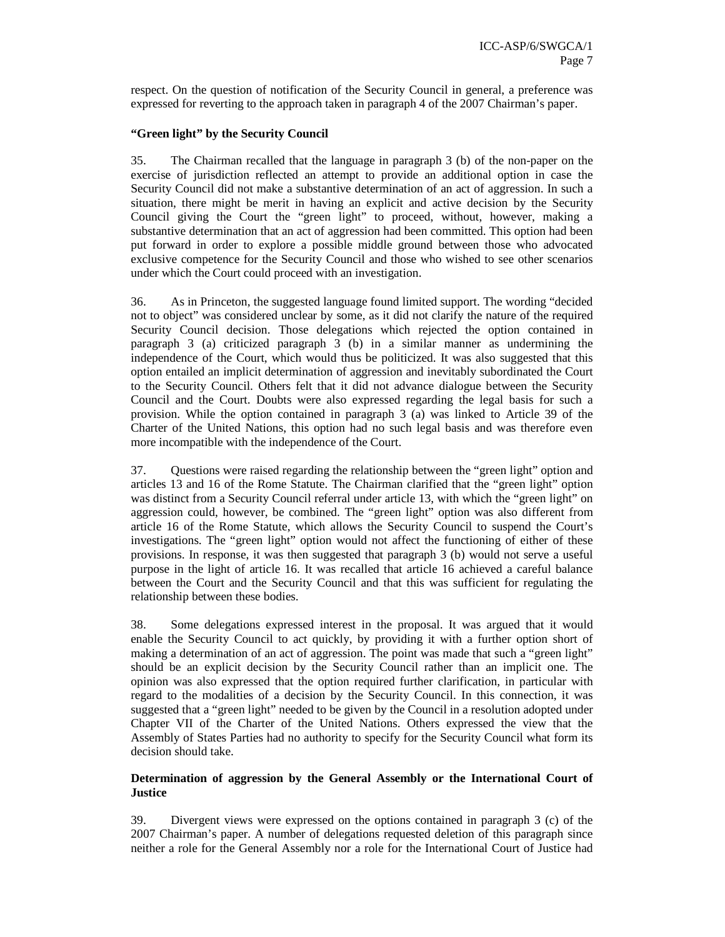respect. On the question of notification of the Security Council in general, a preference was expressed for reverting to the approach taken in paragraph 4 of the 2007 Chairman's paper.

#### **"Green light" by the Security Council**

35. The Chairman recalled that the language in paragraph 3 (b) of the non-paper on the exercise of jurisdiction reflected an attempt to provide an additional option in case the Security Council did not make a substantive determination of an act of aggression. In such a situation, there might be merit in having an explicit and active decision by the Security Council giving the Court the "green light" to proceed, without, however, making a substantive determination that an act of aggression had been committed. This option had been put forward in order to explore a possible middle ground between those who advocated exclusive competence for the Security Council and those who wished to see other scenarios under which the Court could proceed with an investigation.

36. As in Princeton, the suggested language found limited support. The wording "decided not to object" was considered unclear by some, as it did not clarify the nature of the required Security Council decision. Those delegations which rejected the option contained in paragraph 3 (a) criticized paragraph 3 (b) in a similar manner as undermining the independence of the Court, which would thus be politicized. It was also suggested that this option entailed an implicit determination of aggression and inevitably subordinated the Court to the Security Council. Others felt that it did not advance dialogue between the Security Council and the Court. Doubts were also expressed regarding the legal basis for such a provision. While the option contained in paragraph 3 (a) was linked to Article 39 of the Charter of the United Nations, this option had no such legal basis and was therefore even more incompatible with the independence of the Court.

37. Questions were raised regarding the relationship between the "green light" option and articles 13 and 16 of the Rome Statute. The Chairman clarified that the "green light" option was distinct from a Security Council referral under article 13, with which the "green light" on aggression could, however, be combined. The "green light" option was also different from article 16 of the Rome Statute, which allows the Security Council to suspend the Court's investigations. The "green light" option would not affect the functioning of either of these provisions. In response, it was then suggested that paragraph 3 (b) would not serve a useful purpose in the light of article 16. It was recalled that article 16 achieved a careful balance between the Court and the Security Council and that this was sufficient for regulating the relationship between these bodies.

38. Some delegations expressed interest in the proposal. It was argued that it would enable the Security Council to act quickly, by providing it with a further option short of making a determination of an act of aggression. The point was made that such a "green light" should be an explicit decision by the Security Council rather than an implicit one. The opinion was also expressed that the option required further clarification, in particular with regard to the modalities of a decision by the Security Council. In this connection, it was suggested that a "green light" needed to be given by the Council in a resolution adopted under Chapter VII of the Charter of the United Nations. Others expressed the view that the Assembly of States Parties had no authority to specify for the Security Council what form its decision should take.

#### **Determination of aggression by the General Assembly or the International Court of Justice**

39. Divergent views were expressed on the options contained in paragraph 3 (c) of the 2007 Chairman's paper. A number of delegations requested deletion of this paragraph since neither a role for the General Assembly nor a role for the International Court of Justice had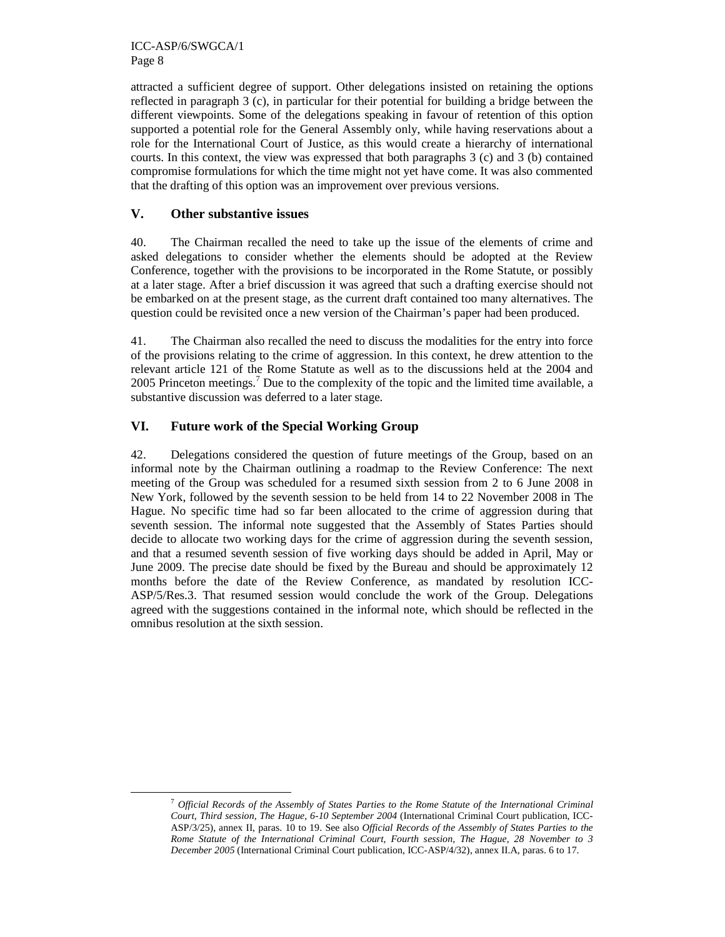-

attracted a sufficient degree of support. Other delegations insisted on retaining the options reflected in paragraph 3 (c), in particular for their potential for building a bridge between the different viewpoints. Some of the delegations speaking in favour of retention of this option supported a potential role for the General Assembly only, while having reservations about a role for the International Court of Justice, as this would create a hierarchy of international courts. In this context, the view was expressed that both paragraphs 3 (c) and 3 (b) contained compromise formulations for which the time might not yet have come. It was also commented that the drafting of this option was an improvement over previous versions.

# **V. Other substantive issues**

40. The Chairman recalled the need to take up the issue of the elements of crime and asked delegations to consider whether the elements should be adopted at the Review Conference, together with the provisions to be incorporated in the Rome Statute, or possibly at a later stage. After a brief discussion it was agreed that such a drafting exercise should not be embarked on at the present stage, as the current draft contained too many alternatives. The question could be revisited once a new version of the Chairman's paper had been produced.

41. The Chairman also recalled the need to discuss the modalities for the entry into force of the provisions relating to the crime of aggression. In this context, he drew attention to the relevant article 121 of the Rome Statute as well as to the discussions held at the 2004 and 2005 Princeton meetings.<sup>7</sup> Due to the complexity of the topic and the limited time available, a substantive discussion was deferred to a later stage.

# **VI. Future work of the Special Working Group**

42. Delegations considered the question of future meetings of the Group, based on an informal note by the Chairman outlining a roadmap to the Review Conference: The next meeting of the Group was scheduled for a resumed sixth session from 2 to 6 June 2008 in New York, followed by the seventh session to be held from 14 to 22 November 2008 in The Hague. No specific time had so far been allocated to the crime of aggression during that seventh session. The informal note suggested that the Assembly of States Parties should decide to allocate two working days for the crime of aggression during the seventh session, and that a resumed seventh session of five working days should be added in April, May or June 2009. The precise date should be fixed by the Bureau and should be approximately 12 months before the date of the Review Conference, as mandated by resolution ICC-ASP/5/Res.3. That resumed session would conclude the work of the Group. Delegations agreed with the suggestions contained in the informal note, which should be reflected in the omnibus resolution at the sixth session.

<sup>7</sup> *Official Records of the Assembly of States Parties to the Rome Statute of the International Criminal Court, Third session, The Hague, 6-10 September 2004* (International Criminal Court publication, ICC-ASP/3/25), annex II, paras. 10 to 19. See also *Official Records of the Assembly of States Parties to the Rome Statute of the International Criminal Court, Fourth session, The Hague, 28 November to 3 December 2005* (International Criminal Court publication, ICC-ASP/4/32), annex II.A, paras. 6 to 17.